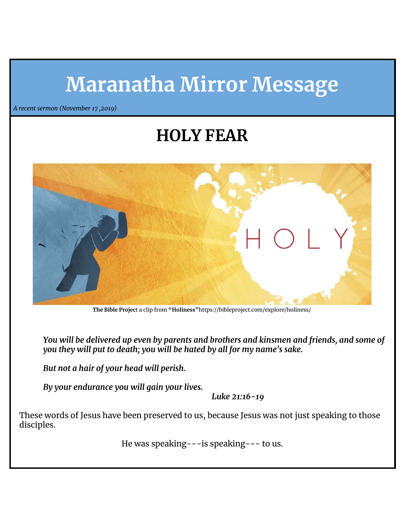# **Maranatha Mirror Message**

*A recent sermon (November 17 ,2019)*

## **HOLY FEAR**



**The Bible Projec**t a clip from **"Holiness"**https://bibleproject.com/explore/holiness/

*You will be delivered up even by parents and brothers and kinsmen and friends, and some of you they will put to death; you will be hated by all for my name's sake.*

*But not a hair of your head will perish.*

*By your endurance you will gain your lives.*

*Luke 21:16-19*

These words of Jesus have been preserved to us, because Jesus was not just speaking to those disciples.

He was speaking---is speaking--- to us.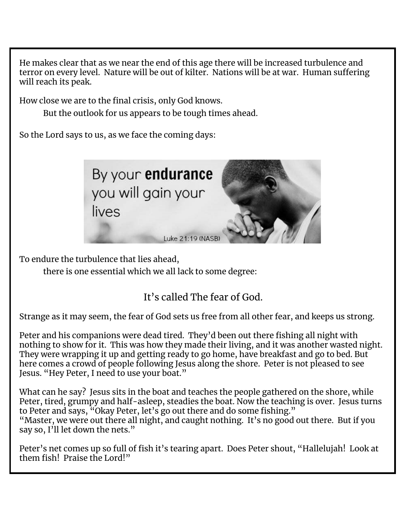He makes clear that as we near the end of this age there will be increased turbulence and terror on every level. Nature will be out of kilter. Nations will be at war. Human suffering will reach its peak.

How close we are to the final crisis, only God knows.

But the outlook for us appears to be tough times ahead.

So the Lord says to us, as we face the coming days:



To endure the turbulence that lies ahead,

there is one essential which we all lack to some degree:

It's called The fear of God.

Strange as it may seem, the fear of God sets us free from all other fear, and keeps us strong.

Peter and his companions were dead tired. They'd been out there fishing all night with nothing to show for it. This was how they made their living, and it was another wasted night. They were wrapping it up and getting ready to go home, have breakfast and go to bed. But here comes a crowd of people following Jesus along the shore. Peter is not pleased to see Jesus. "Hey Peter, I need to use your boat."

What can he say? Jesus sits in the boat and teaches the people gathered on the shore, while Peter, tired, grumpy and half-asleep, steadies the boat. Now the teaching is over. Jesus turns to Peter and says, "Okay Peter, let's go out there and do some fishing." "Master, we were out there all night, and caught nothing. It's no good out there. But if you say so, I'll let down the nets."

Peter's net comes up so full of fish it's tearing apart. Does Peter shout, "Hallelujah! Look at them fish! Praise the Lord!"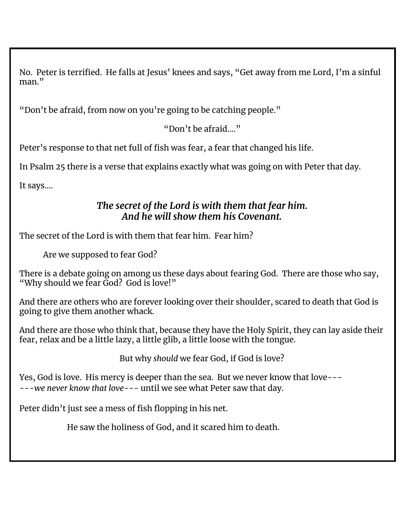No. Peter is terrified. He falls at Jesus' knees and says, "Get away from me Lord, I'm a sinful man."

"Don't be afraid, from now on you're going to be catching people."

"Don't be afraid…."

Peter's response to that net full of fish was fear, a fear that changed his life.

In Psalm 25 there is a verse that explains exactly what was going on with Peter that day.

It says….

#### *The secret of the Lord is with them that fear him. And he will show them his Covenant.*

The secret of the Lord is with them that fear him. Fear him?

Are we supposed to fear God?

There is a debate going on among us these days about fearing God. There are those who say, "Why should we fear God? God is love!"

And there are others who are forever looking over their shoulder, scared to death that God is going to give them another whack.

And there are those who think that, because they have the Holy Spirit, they can lay aside their fear, relax and be a little lazy, a little glib, a little loose with the tongue.

But why *should* we fear God, if God is love?

Yes, God is love. His mercy is deeper than the sea. But we never know that love--- ---*we never know that love*--- until we see what Peter saw that day.

Peter didn't just see a mess of fish flopping in his net.

He saw the holiness of God, and it scared him to death.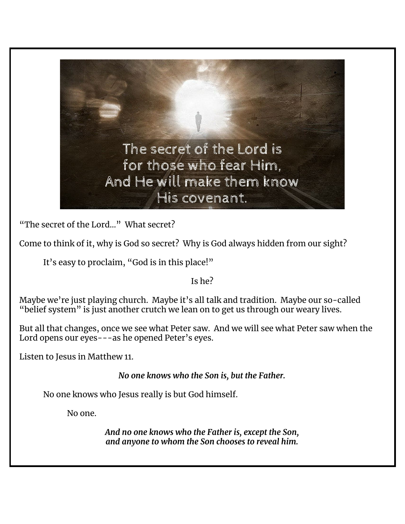

"The secret of the Lord…" What secret?

Come to think of it, why is God so secret? Why is God always hidden from our sight?

It's easy to proclaim, "God is in this place!"

Is he?

Maybe we're just playing church. Maybe it's all talk and tradition. Maybe our so-called "belief system" is just another crutch we lean on to get us through our weary lives.

But all that changes, once we see what Peter saw. And we will see what Peter saw when the Lord opens our eyes---as he opened Peter's eyes.

Listen to Jesus in Matthew 11.

*No one knows who the Son is, but the Father.*

No one knows who Jesus really is but God himself.

No one.

*And no one knows who the Father is, except the Son, and anyone to whom the Son chooses to reveal him.*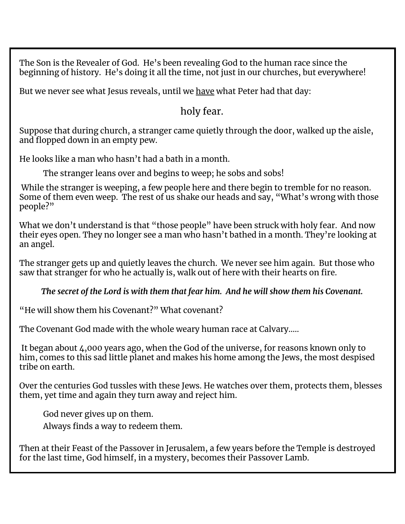The Son is the Revealer of God. He's been revealing God to the human race since the beginning of history. He's doing it all the time, not just in our churches, but everywhere!

But we never see what Jesus reveals, until we have what Peter had that day:

#### holy fear.

Suppose that during church, a stranger came quietly through the door, walked up the aisle, and flopped down in an empty pew.

He looks like a man who hasn't had a bath in a month.

The stranger leans over and begins to weep; he sobs and sobs!

While the stranger is weeping, a few people here and there begin to tremble for no reason. Some of them even weep. The rest of us shake our heads and say, "What's wrong with those people?"

What we don't understand is that "those people" have been struck with holy fear. And now their eyes open. They no longer see a man who hasn't bathed in a month. They're looking at an angel.

The stranger gets up and quietly leaves the church. We never see him again. But those who saw that stranger for who he actually is, walk out of here with their hearts on fire.

*The secret of the Lord is with them that fear him. And he will show them his Covenant.*

"He will show them his Covenant?" What covenant?

The Covenant God made with the whole weary human race at Calvary…..

It began about 4,000 years ago, when the God of the universe, for reasons known only to him, comes to this sad little planet and makes his home among the Jews, the most despised tribe on earth.

Over the centuries God tussles with these Jews. He watches over them, protects them, blesses them, yet time and again they turn away and reject him.

God never gives up on them.

Always finds a way to redeem them.

Then at their Feast of the Passover in Jerusalem, a few years before the Temple is destroyed for the last time, God himself, in a mystery, becomes their Passover Lamb.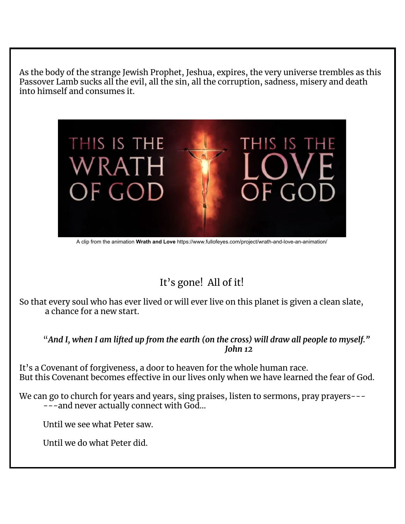As the body of the strange Jewish Prophet, Jeshua, expires, the very universe trembles as this Passover Lamb sucks all the evil, all the sin, all the corruption, sadness, misery and death into himself and consumes it.



A clip from the animation **Wrath and Love** https://www.fullofeyes.com/project/wrath-and-love-an-animation/

### It's gone! All of it!

So that every soul who has ever lived or will ever live on this planet is given a clean slate, a chance for a new start.

"*And I, when I am lifted up from the earth (on the cross) will draw all people to myself." John 12*

It's a Covenant of forgiveness, a door to heaven for the whole human race. But this Covenant becomes effective in our lives only when we have learned the fear of God.

We can go to church for years and years, sing praises, listen to sermons, pray prayers------and never actually connect with God…

Until we see what Peter saw.

Until we do what Peter did.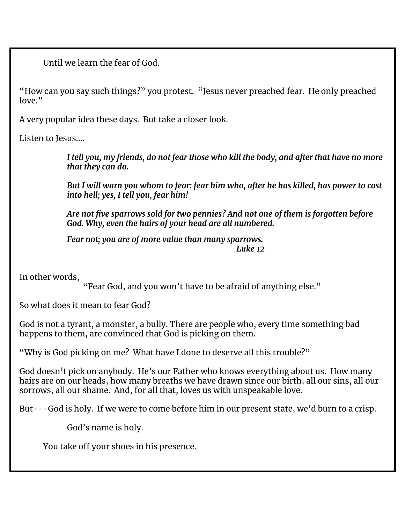Until we learn the fear of God.

"How can you say such things?" you protest. "Jesus never preached fear. He only preached  $lowe$ ."

A very popular idea these days. But take a closer look.

Listen to Jesus….

*I tell you, my friends, do not fear those who kill the body, and after that have no more that they can do.*

*But I will warn you whom to fear: fear him who, after he has killed, has power to cast into hell; yes, I tell you, fear him!*

*Are not five sparrows sold for two pennies? And not one of them is forgotten before God. Why, even the hairs of your head are all numbered.*

*Fear not; you are of more value than many sparrows. Luke 12*

In other words,

"Fear God, and you won't have to be afraid of anything else."

So what does it mean to fear God?

God is not a tyrant, a monster, a bully. There are people who, every time something bad happens to them, are convinced that God is picking on them.

"Why is God picking on me? What have I done to deserve all this trouble?"

God doesn't pick on anybody. He's our Father who knows everything about us. How many hairs are on our heads, how many breaths we have drawn since our birth, all our sins, all our sorrows, all our shame. And, for all that, loves us with unspeakable love.

But---God is holy. If we were to come before him in our present state, we'd burn to a crisp.

God's name is holy.

You take off your shoes in his presence.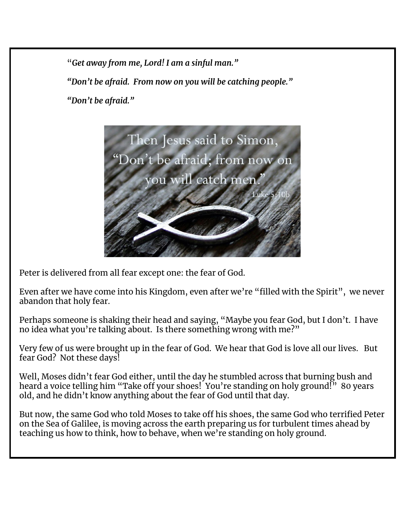"*Get away from me, Lord! I am a sinful man."*

*"Don't be afraid. From now on you will be catching people."*

*"Don't be afraid."*



Peter is delivered from all fear except one: the fear of God.

Even after we have come into his Kingdom, even after we're "filled with the Spirit", we never abandon that holy fear.

Perhaps someone is shaking their head and saying, "Maybe you fear God, but I don't. I have no idea what you're talking about. Is there something wrong with me?"

Very few of us were brought up in the fear of God. We hear that God is love all our lives. But fear God? Not these days!

Well, Moses didn't fear God either, until the day he stumbled across that burning bush and heard a voice telling him "Take off your shoes! You're standing on holy ground!" 80 years old, and he didn't know anything about the fear of God until that day.

But now, the same God who told Moses to take off his shoes, the same God who terrified Peter on the Sea of Galilee, is moving across the earth preparing us for turbulent times ahead by teaching us how to think, how to behave, when we're standing on holy ground.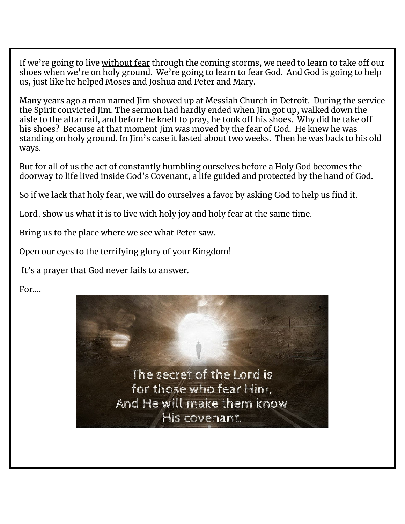If we're going to live without fear through the coming storms, we need to learn to take off our shoes when we're on holy ground. We're going to learn to fear God. And God is going to help us, just like he helped Moses and Joshua and Peter and Mary.

Many years ago a man named Jim showed up at Messiah Church in Detroit. During the service the Spirit convicted Jim. The sermon had hardly ended when Jim got up, walked down the aisle to the altar rail, and before he knelt to pray, he took off his shoes. Why did he take off his shoes? Because at that moment Jim was moved by the fear of God. He knew he was standing on holy ground. In Jim's case it lasted about two weeks. Then he was back to his old ways.

But for all of us the act of constantly humbling ourselves before a Holy God becomes the doorway to life lived inside God's Covenant, a life guided and protected by the hand of God.

So if we lack that holy fear, we will do ourselves a favor by asking God to help us find it.

Lord, show us what it is to live with holy joy and holy fear at the same time.

Bring us to the place where we see what Peter saw.

Open our eyes to the terrifying glory of your Kingdom!

It's a prayer that God never fails to answer.

For….